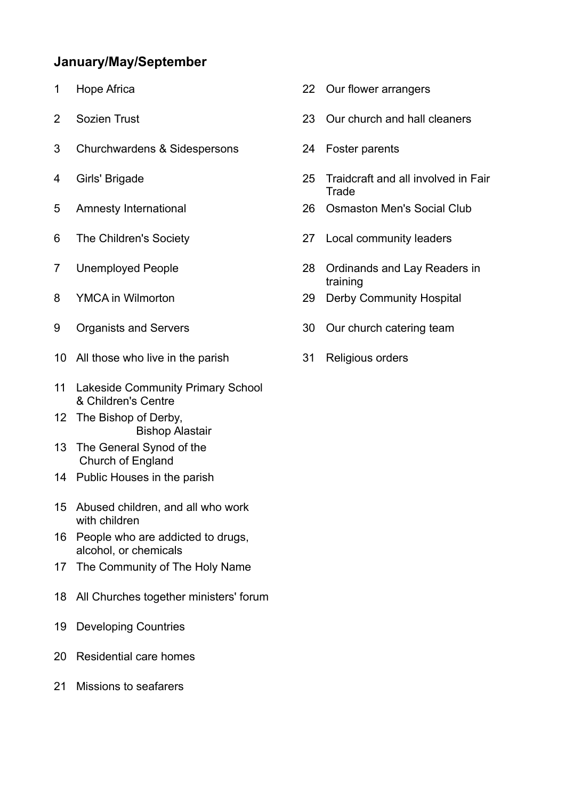## **January/May/September**

- 
- 
- Churchwardens & Sidespersons 24 Foster parents
- 
- 
- 
- 
- 
- 
- All those who live in the parish 31 Religious orders
- Lakeside Community Primary School & Children's Centre
- The Bishop of Derby, Bishop Alastair
- The General Synod of the Church of England
- Public Houses in the parish
- Abused children, and all who work with children
- People who are addicted to drugs, alcohol, or chemicals
- The Community of The Holy Name
- All Churches together ministers' forum
- Developing Countries
- Residential care homes
- Missions to seafarers
- Hope Africa 22 Our flower arrangers
- Sozien Trust 23 Our church and hall cleaners
	-
- Girls' Brigade 25 Traidcraft and all involved in Fair **Trade**
- Amnesty International 26 Osmaston Men's Social Club
- The Children's Society 27 Local community leaders
- Unemployed People 28 Ordinands and Lay Readers in training
- YMCA in Wilmorton 29 Derby Community Hospital
- Organists and Servers 30 Our church catering team
	-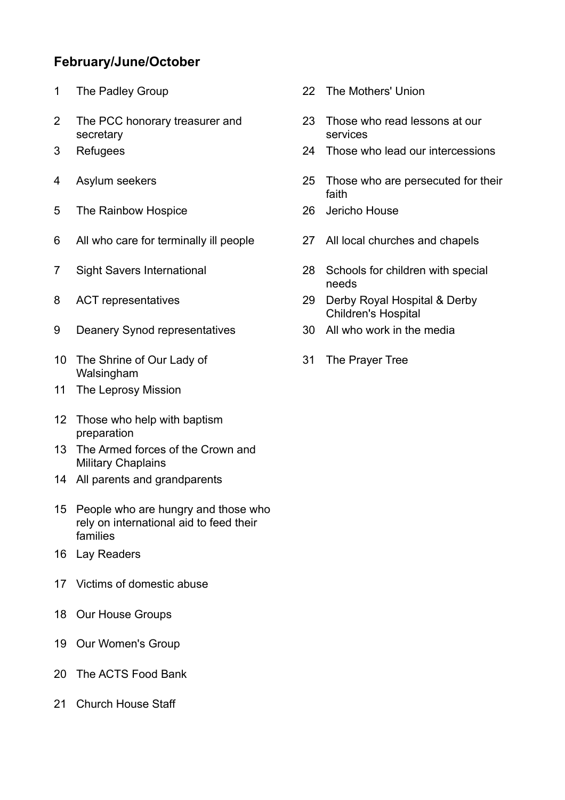## **February/June/October**

- 
- The PCC honorary treasurer and secretary
- 
- 
- The Rainbow Hospice 26 Jericho House
- All who care for terminally ill people 27 All local churches and chapels
- 
- 
- Deanery Synod representatives 30 All who work in the media
- The Shrine of Our Lady of Walsingham
- The Leprosy Mission
- Those who help with baptism preparation
- The Armed forces of the Crown and Military Chaplains
- All parents and grandparents
- People who are hungry and those who rely on international aid to feed their families
- Lay Readers
- Victims of domestic abuse
- Our House Groups
- Our Women's Group
- The ACTS Food Bank
- 21 Church House Staff
- 1 The Padley Group 22 The Mothers' Union
	- Those who read lessons at our services
- Refugees 24 Those who lead our intercessions
- Asylum seekers 25 Those who are persecuted for their faith
	-
	-
- Sight Savers International 28 Schools for children with special needs
- ACT representatives 29 Derby Royal Hospital & Derby Children's Hospital
	-
	- The Prayer Tree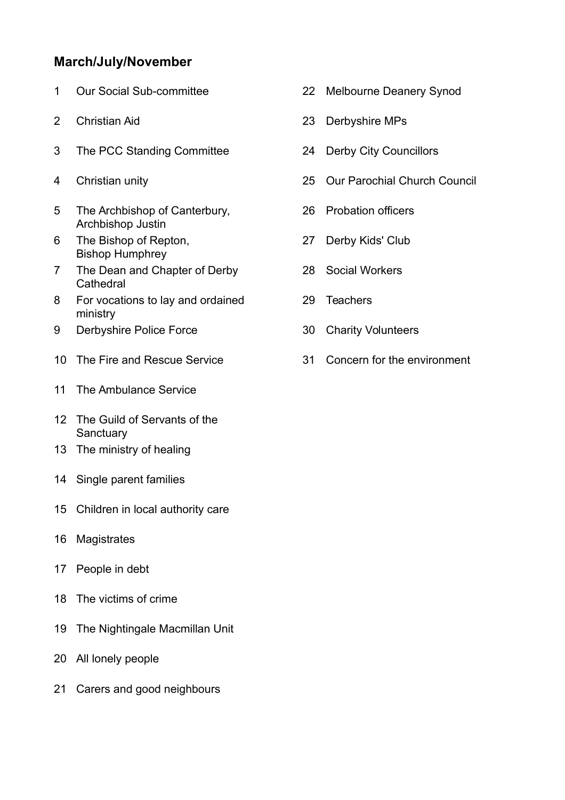## **March/July/November**

- 
- 
- The PCC Standing Committee 24 Derby City Councillors
- 
- The Archbishop of Canterbury, Archbishop Justin
- The Bishop of Repton, Bishop Humphrey
- The Dean and Chapter of Derby **Cathedral**
- For vocations to lay and ordained ministry
- 9 Derbyshire Police Force 30 Charity Volunteers
- The Fire and Rescue Service 31 Concern for the environment
- The Ambulance Service
- The Guild of Servants of the **Sanctuary**
- The ministry of healing
- Single parent families
- Children in local authority care
- Magistrates
- People in debt
- The victims of crime
- The Nightingale Macmillan Unit
- All lonely people
- Carers and good neighbours
- Our Social Sub-committee 22 Melbourne Deanery Synod
- Christian Aid 23 Derbyshire MPs
	-
- Christian unity 25 Our Parochial Church Council
	- Probation officers
	- Derby Kids' Club
	- Social Workers
	- Teachers
	-
	-